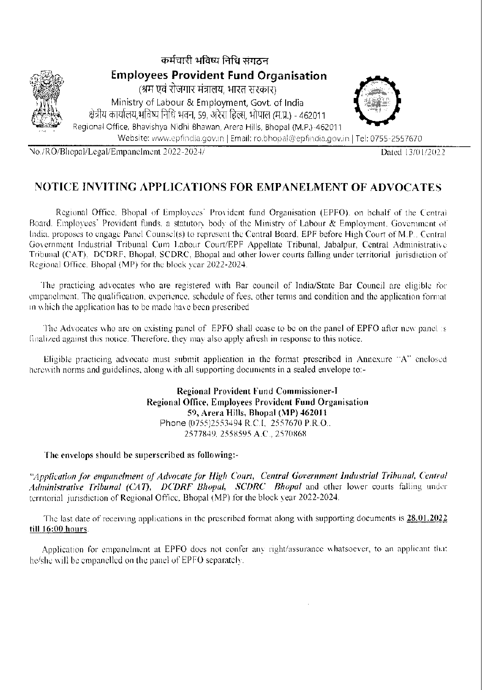

No./RO/Bhopal/Legal/Empanelment 2022-2024/

Dated 13/01/2022

### NOTICE INVITING APPLICATIONS FOR EMPANELMENT OF ADVOCATES

Regional Office, Bhopal of Employees' Provident fund Organisation (EPFO), on behalf of the Central Board, Employees' Provident funds, a statutory body of the Ministry of Labour & Employment, Government of India, proposes to engage Panel Counsel(s) to represent the Central Board, EPF before High Court of M.P., Central Government Industrial Tribunal Cum Labour Court/EPF Appellate Tribunal, Jabalpur, Central Administrative Tribunal (CAT), DCDRF, Bhopal, SCDRC, Bhopal and other lower courts falling under territorial jurisdiction of Regional Office, Bhopal (MP) for the block year 2022-2024.

The practicing advocates who are registered with Bar council of India/State Bar Council are eligible for empanelment. The qualification, experience, schedule of fees, other terms and condition and the application format in which the application has to be made have been prescribed

The Advocates who are on existing panel of EPFO shall cease to be on the panel of EPFO after new panel is finalized against this notice. Therefore, they may also apply afresh in response to this notice.

Eligible practicing advocate must submit application in the format prescribed in Annexure "A" enclosed herewith norms and guidelines, along with all supporting documents in a sealed envelope to:-

> Regional Provident Fund Commissioner-I Regional Office, Employees Provident Fund Organisation 59, Arera Hills, Bhopal (MP) 462011 Phone (0755)2553494 R.C.I. 2557670 P.R.O.. 2577849, 2558595 A.C., 2570868

The envelops should be superscribed as following:-

"Application for empanelment of Advocate for High Court, Central Government Industrial Tribunal, Central Administrative Tribunal (CAT), DCDRF Bhopal, SCDRC Bhopal and other lower courts falling under territorial jurisdiction of Regional Office, Bhopal (MP) for the block year 2022-2024.

The last date of receiving applications in the prescribed format along with supporting documents is 28.01.2022 till 16:00 hours.

Application for empanelment at EPFO does not confer any right/assurance whatsoever, to an applicant that he/she will be empanelled on the panel of EPFO separately.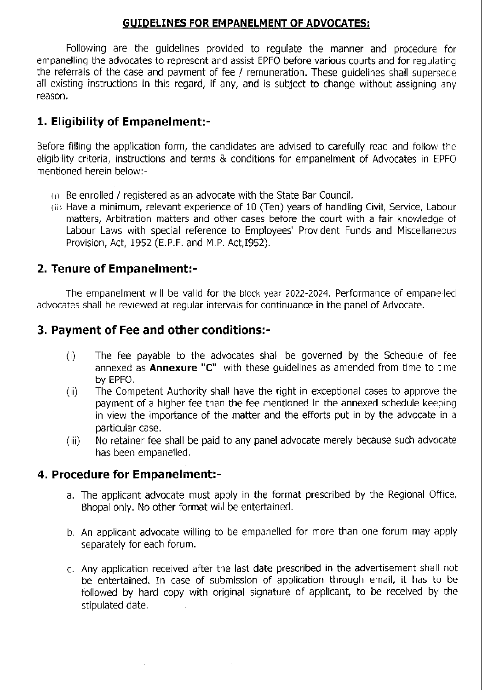#### GUIDELINES FOR EMPANELMENT OF ADVOCATESI

Following are the guidelines provided to regulate the manner and procedure for empanelling the advocates to represent and assist EPFO before various courts and for regulating the referrals of the case and payment of fee / remuneration. These quidelines shall supersede all existing instructions in this regard, if any, and is subject to change without assigning any reason.

## 1. Eligibility of Empanelment:-

Before filling the application form, the candidates are advised to carefully read and follow the eligibility criteria, instructions and terms & conditions for empanelment of Advocates in EPFO mentioned herein below:-

- (i) Be enrolled / registered as an advocate with the State Bar Council.
- (ii) Have a minimum, relevant experience of 10 (Ten) years of handling Civil, Service, Labour matters, Arbitration matters and other cases before the court with a fair knowledge of Labour Laws with special reference to Employees' Provident Funds and Miscellaneous Provision, Act, 1952 (E,P,F. and M.P. Act,I952).

## 2. Tenure of Empanelment:-

The empanelment will be valid for the block year 2022-2024. Performance of empanelled advocates shall be reviewed at regular intervals for continuance in the panel of Advocate.

## 3. Payment of Fee and other conditions:-

- (i) The fee payable to the advocates shall be governed by the Schedule of fee annexed as **Annexure "C"** with these quidelines as amended from time to time
- by EPFO.<br>(ii) The Competent Authority shall have the right in exceptional cases to approve the payment of a higher fee than the fee mentioned in the annexed schedule keeping in view the importance of the matter and the efforts put in by the advocate in a particular case.
- (iii) No retainer fee shall be paid to any panel advocate merely because such advocate has been empanelled.

#### 4. Procedure for Empanelment:-

- a. The applicant advocate must apply in the format prescribed by the Regional Office, Bhopal only. No other format will be entertained.
- b. An applicant advocate willing to be empanelled for more than one forum may apply separately for each forum.
- c, Any application received after the last date prescribed in the advertisement shall not be entertained. In case of submission of application through email, it has to be followed by hard copy with original signature of applicant, to be received by the stipulated date.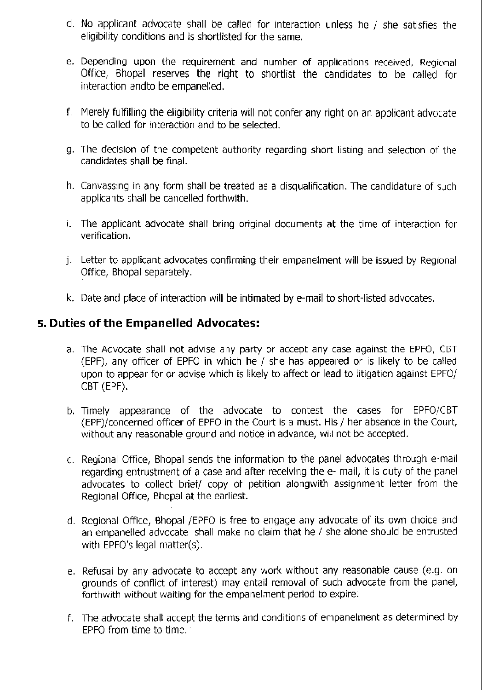- d. No applicant advocate shall be called for interaction unless he / she satisfies the eligibility conditions and is shortlisted for the same.
- e. Depending upon the requirement and number of applications received, Regional 0ffice, Bhopal reserves the right to shortlist the candidates to be called for interaction andto be empanelled.
- f. Merely fulfilling the eligibility criteria will not confer any right on an applicant advocate to be called for interaction and to be selected.
- g. The decision of the competent authority regarding short listing and selection of the candidates shall be final.
- h. Canvassing in any form shall be treated as a disqualification. The candidature of such applicants shall be cancelled forthwith.
- i, The applicant advocate shall bring original documents at the time of interaction for verification.
- j. Letter to applicant advocates confirming their empanelment will be issued by Regional Office, Bhopal separately.
- k. Date and place of interaction will be intimated by e-mail to short-listed advocates.

## s. Duties of the Empanelled Advocates:

- a. The Advocate shall not advise any party or accept any case against the EPFO, CBT (EPF), any officer of EPFO in which he  $/$  she has appeared or is likely to be called upon to appear for or advise which is likely to affect or lead to litigation against EPFO/ cBT (EPF).
- b. Timely appearance of the advocate to contest the cases for EPFO/CBT (EPF)/concerned officer of EPFO in the Court is a must. His / her absence in the Court, without any reasonable ground and notice in advance, will not be accepted.
- c. Regional Office, Bhopal sends the information to the panel advocates through e-mail regarding entrustment of a case and after receiving the e- mail, it is duty of the panel advocates to collect brief/ copy of petition alongwith assignment letter from the Regional Office, Bhopal at the earliest.
- d. Regional Office, Bhopal /EPFO is free to engage any advocate of its own choice and an empanelled advocate shall make no claim that he / she alone should be entrusted with EPFO's legal matter(s).
- e. Refusal by any advocate to accept any work without any reasonable cause (e.g. on grounds of conflict of interest) may entail removal of such advocate from the panel, forthwith without waiting for the empanelment period to expire.
- f. The advocate shall accept the terms and conditions of empanelment as determined by EPFO from time to time.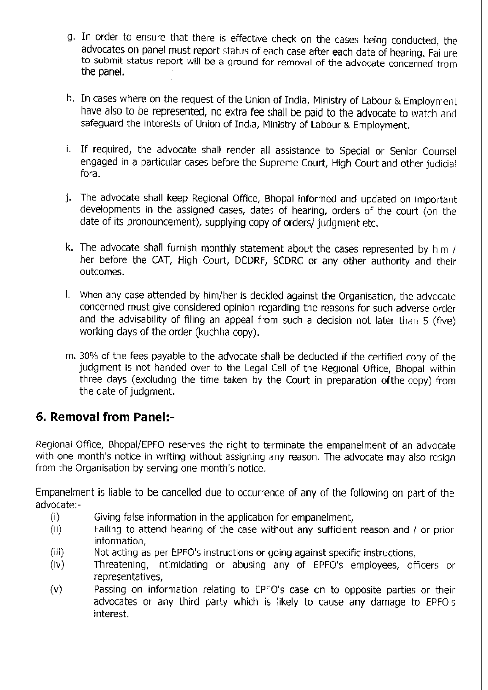- g. In order to ensure that there is effective check on the cases being conducted, the advocates on panel must report status of each case after each date of hearing. Failure to submit status report will be a ground for removal of the advocate concerned from the panel.
- h. In cases where on the request of the Union of India, Ministry of Labour & Employmen have also to be represented, no extra fee shall be paid to the advocate to watch and safeguard the interests of Union of India, Ministry of Labour & Employment.
- i. If required, the advocate shall render all assistance to Special or Senior Counsel engaged in a particular cases before the Supreme Court, High Court and other judicial fora.
- The advocate shall keep Regional Office, Bhopal informed and updated on important j.developments in the assigned cases, dates of hearing, orders of the court (on the date of its pronouncement), supplying copy of orders/ iudgment etc.
- k. The advocate shall furnish monthly statement about the cases represented by him  $/$ her before the CAT, High Court, DCDRF, SCDRC or any other authority and their outcomes.
- l. When any case attended by him/her is decided against the Organisation, the advocate concerned must give considered opinion regarding the reasons for such adverse qrder and the advisability of filing an appeal from such a decision not later than 5 (five) working days of the order (kuchha copy).
- m. 30% of the fees payable to the advocate shall be deducted if the certified copy of the judgment is not handed over to the Legal Cell of the Regional Office, Bhopal wilhin three days (excluding the time taken by the Court in preparation of the copy) from the date of judgment.

## 6. Removal from Panel:-

Regional Office, Bhopal/EPFO reserves the right to terminate the empanelment of an advocate with one month's notice in writing without assigning any reason. The advocate may also resign from the Organisation by serving one month's notice.

Empanelment is liable to be cancelled due to occurrence of any of the following on part of the advocate:-

- 
- (i) Giving false information in the application for empanelment,<br>(ii) Failing to attend hearing of the case without any sufficient reason and / or prior<br>information.
- information, informations or going against specific instructions,<br>(iv) Threatening, intimidating or abusing any of EPFO's employees, officers or
- representatives,
- (v) Passing on information relating to EPFO's case on to opposite parties or their advocates or any third party which is likely to cause any damage to EPFO's interest.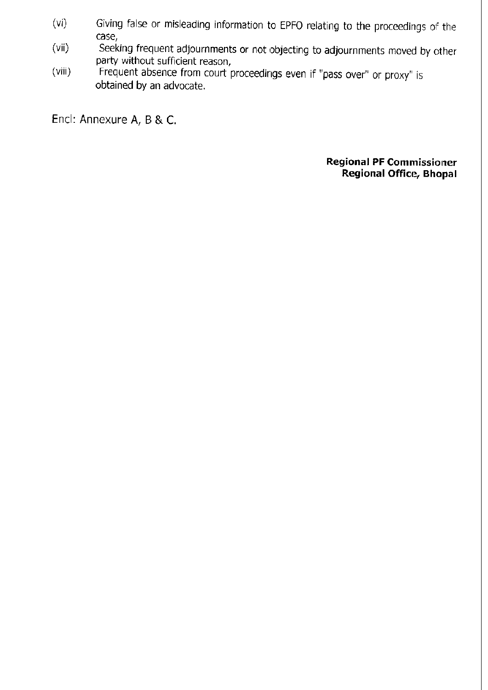- (vi) Giving false or misleading information to EPFO relating to the proceedings of the case,
- (vii) Seeking frequent adjournments or not objecting to adjournments moved by other party without sufficient reason,
- (viii) Frequent absence from court proceedings even if "pass over" or proxy" is obtained by an advocate.

Encl: Annexure A, B & C.

**Regional PF Commissioner** Regional Office, Bhopal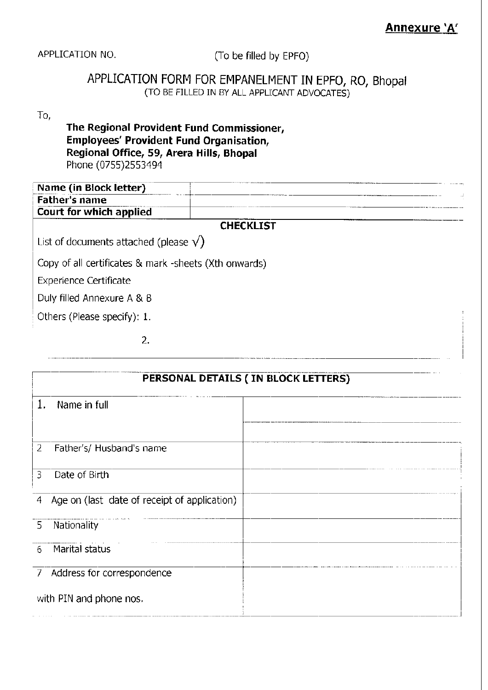APPLICATION NO, (To be filled by EPFO)

## APPLICATION FORM FOR EMPANELMENT IN EPFO, RO, BhopaI (TO BE FILLED IN BY ALL APPLICANT ADVOCATES)

## To,

### The Regional Provident Fund Commissioner, Employees' Provident Fund Organisation, Regional Office, 59, Arera Hills, Bhopal Phone (0755)2553494

| Name (in Block letter)                                |                  |  |
|-------------------------------------------------------|------------------|--|
| <b>Father's name</b>                                  |                  |  |
| Court for which applied                               |                  |  |
|                                                       | <b>CHECKLIST</b> |  |
| List of documents attached (please $\sqrt{}$ )        |                  |  |
| Copy of all certificates & mark -sheets (Xth onwards) |                  |  |
| <b>Experience Certificate</b>                         |                  |  |
| Duly filled Annexure A & B                            |                  |  |
| Others (Please specify): 1.                           |                  |  |
|                                                       |                  |  |

|                | PERSONAL DETAILS (IN BLOCK LETTERS)          |  |  |
|----------------|----------------------------------------------|--|--|
| 1.             | Name in full                                 |  |  |
|                |                                              |  |  |
| 2              | Father's/ Husband's name                     |  |  |
| 3              | Date of Birth                                |  |  |
| $\overline{4}$ | Age on (last date of receipt of application) |  |  |
| 5              | Nationality                                  |  |  |
| 6              | Marital status                               |  |  |
|                | 7 Address for correspondence                 |  |  |
|                | with PIN and phone nos.                      |  |  |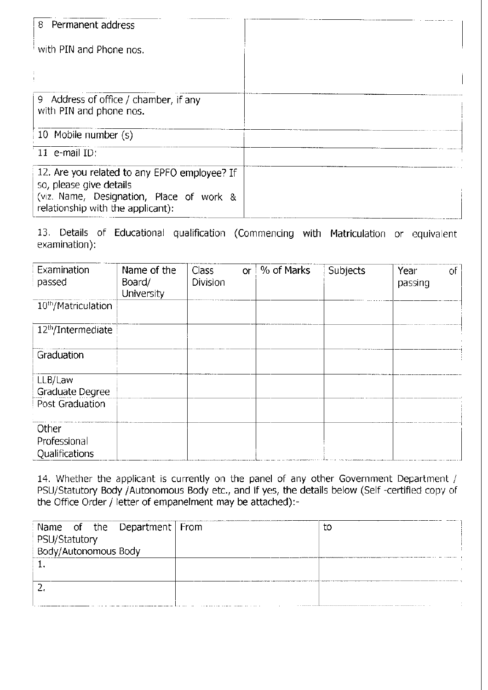| 8 Permanent address                                                                                                                                      |  |
|----------------------------------------------------------------------------------------------------------------------------------------------------------|--|
| with PIN and Phone nos.                                                                                                                                  |  |
|                                                                                                                                                          |  |
| 9 Address of office / chamber, if any<br>with PIN and phone nos.                                                                                         |  |
| 10 Mobile number (s)                                                                                                                                     |  |
| 11 e-mail ID:                                                                                                                                            |  |
| 12. Are you related to any EPFO employee? If<br>so, please give details<br>(viz. Name, Designation, Place of work &<br>relationship with the applicant): |  |

13. Details of Educational qualification (Commencing with Matriculation or equivalent examination):

| Examination<br>passed                         | Name of the<br>Board/<br>University | Class<br>Division | <b>or</b> | % of Marks | Subjects | Year<br>passing | оf |
|-----------------------------------------------|-------------------------------------|-------------------|-----------|------------|----------|-----------------|----|
| 10 <sup>th</sup> /Matriculation               |                                     |                   |           |            |          |                 |    |
| 12 <sup>th</sup> /Intermediate                |                                     |                   |           |            |          |                 |    |
| Graduation                                    |                                     |                   |           |            |          |                 |    |
| LLB/Law<br>Graduate Degree<br>Post Graduation |                                     |                   |           |            |          |                 |    |
| Other<br>Professional<br>Qualifications       |                                     |                   |           |            |          |                 |    |

14. Whether the applicant is currently on the panel of any other Government Department / PSU/Statutory Body /Autonomous Body etc., and if yes, the details below (Self -certified copy of the Office Order / letter of empanelment may be attached):-

| Name of the Department From | tο |
|-----------------------------|----|
| PSU/Statutory               |    |
| Body/Autonomous Body        |    |
|                             |    |
|                             |    |
|                             |    |
|                             |    |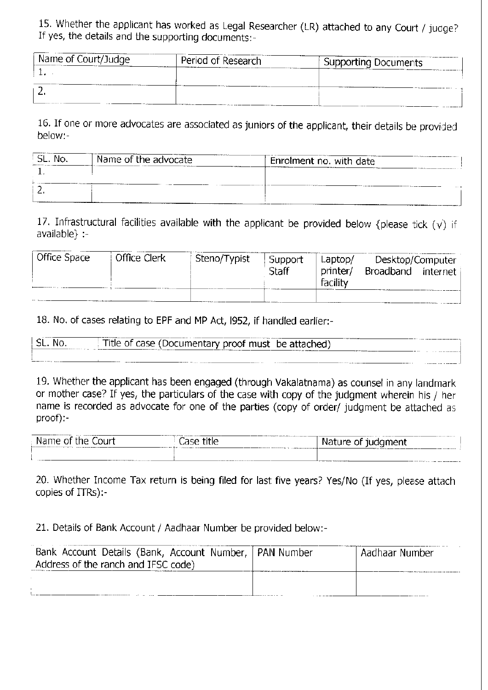15. Whether the applicant has worked as Legal Researcher (LR) attached to any Court / judge?<br>If yes, the details and the synaption desyments If yes, the details and the supporting documents:-

| Name of Court/Judge | Period of Research | Supporting Documents |
|---------------------|--------------------|----------------------|
|                     |                    |                      |
|                     |                    |                      |

16. If one or more advocates are associated as juniors of the applicant, their details be provided below:-

| SL. No. | Name of the advocate | Enrolment no. with date |
|---------|----------------------|-------------------------|
|         |                      |                         |
|         |                      | .                       |

17. Infrastructural facilities available with the applicant be provided below {please tick  $(\vee)$  if available) :-

| Office Space | Office Clerk | Steno/Typist | Support      | Laptop/  | Desktop/Computer |            |
|--------------|--------------|--------------|--------------|----------|------------------|------------|
|              |              |              | <b>Staff</b> | printer/ | Broadband        | internet i |
|              |              |              |              | facility |                  |            |
|              |              |              |              |          |                  |            |

18. No. of cases relating to EPF and MP Act, 1952, if handled earlier:-

| NO. | Title of case (Documentary proof must be attached)<br>_______ |
|-----|---------------------------------------------------------------|
|     | -------<br>-----                                              |

19. Whether the applicant has been engaged (through Vakalatnama) as counsel in any landmark or mother case? If yes, the particulars of the case with copy of the judgment wherein his / her name is recorded as advocate for one of the parties (copy of order/ judgment be attached as proof):-

| -------------------------<br>------------<br>the.<br>оr<br>$\bigcap$ Ir <sup>+</sup><br>ילוי<br>╹╹<br>.<br>.<br> | <b>AAA AAA AAA A</b><br>∸ו≏<br>Jape<br>いいい<br>. <i>.</i>                                                                     | ------- -- -<br>----------<br><br>ıre<br>-Of<br>.ant                        |
|------------------------------------------------------------------------------------------------------------------|------------------------------------------------------------------------------------------------------------------------------|-----------------------------------------------------------------------------|
| .   .____                                                                                                        | a control de composición e construir e a composición e<br>a lower speed to the transfer of the character and construction of | _______________________<br>.<br>the commence of the commence of the comment |

20. Whether Income Tax return is being filed for last five years? Yes/No (If yes, please attach copies of ITRs):-

21. Details of Bank Account / Aadhaar Number be provided below:-

| Bank Account Details (Bank, Account Number,   PAN Number | . Aadhaar Number |
|----------------------------------------------------------|------------------|
| Address of the ranch and IFSC code)                      |                  |
|                                                          |                  |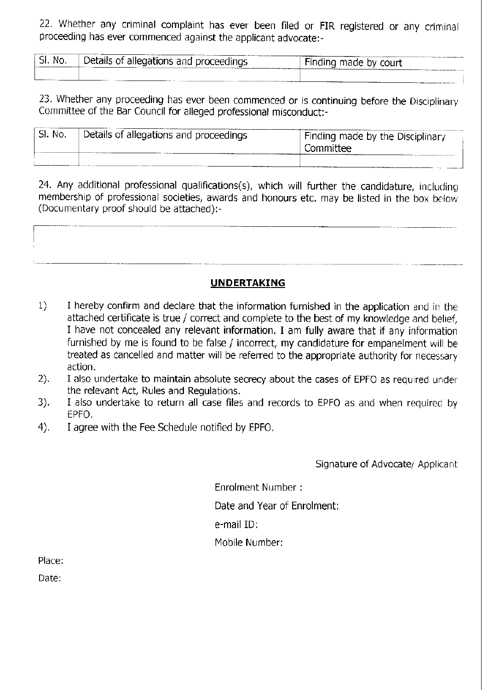22. Whether any criminal complaint has ever been filed or FIR registered or any criminal proceeding has ever commenced against the applicant advocate:-

| $\sim$<br>No.<br>ы. | Details of<br><i>i</i> allegations and proceedings<br><b>THE ALLASSACHUSE</b><br>$     -$ | __________<br>$-1$<br>-indina<br>made by court |
|---------------------|-------------------------------------------------------------------------------------------|------------------------------------------------|
|                     |                                                                                           |                                                |

23. Whether any proceeding has ever been commenced or is continuing before the Disciplinary committee of the Bar council for alleged professional misconduct:-

| ' SI. No. | Details of allegations and proceedings | Finding made by the Disciplinary<br>Committee |
|-----------|----------------------------------------|-----------------------------------------------|
|           |                                        |                                               |

24. Any additional professional qualifications(s), which will further the candidature, including membership of professional societies, awards and honours etc. may be listed in the box below (Documentary proof should be attached):-



- 1) I hereby confirm and declare that the information furnished in the application and in the attached certificate is true / correct and complete to the best of my knowledge and belief, I have not concealed any relevant information. I am fully aware that if any informalion furnished by me is found to be false / incorrect, my candidature for empanelment will be treated as cancelled and matter will be referred to the appropriate authority for necessary action.
- I also undertake to maintain absolute secrecy about the cases of EPFO as required under the relevant Act, Rules and Regulations. 2).
- I also undertake to return all case files and records to EPFO as and when required by EPFO. 3).
- I agree with the Fee Schedule notified by EPFO. 4).

Signature of Advocate/ Applicant

Enrolment Number : Date and Year of Enrolment: e-mail ID: Mobile Number:

Place:

Date: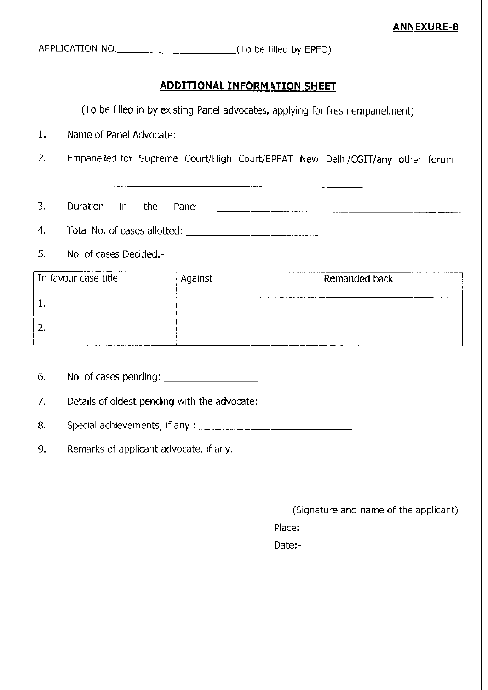APPLICATION NO. (To be filled by EPFO)

#### **ADDITIONAL INFORMATION SHEET**

(To be filled in by existing Panel advocates, applying for fresh empanelment)

- 1. Name of Panel Advocate:
- 2. Empanelled for Supreme Court/High Court/EPFAT New Delhi/CGIT/any other forum

- 3. Duration in the Panel:
- 4. Total No. of cases allotted:
- 5. No. of cases Decided:-

| In favour case title | Against | Remanded back |
|----------------------|---------|---------------|
|                      |         |               |
|                      |         |               |
| $\cdots$<br>.        |         |               |

6. No. of cases pending:

7. Details of oldest pending with the advocate: \_\_\_\_\_\_\_\_\_\_\_\_\_\_\_\_\_\_\_\_\_\_\_\_\_\_\_\_\_\_\_\_\_\_\_

- B. Special achievements, if any :
- 9, Remarks of applicant advocate, if any.

(Signature and name of the applicant)

Place:-

Date:-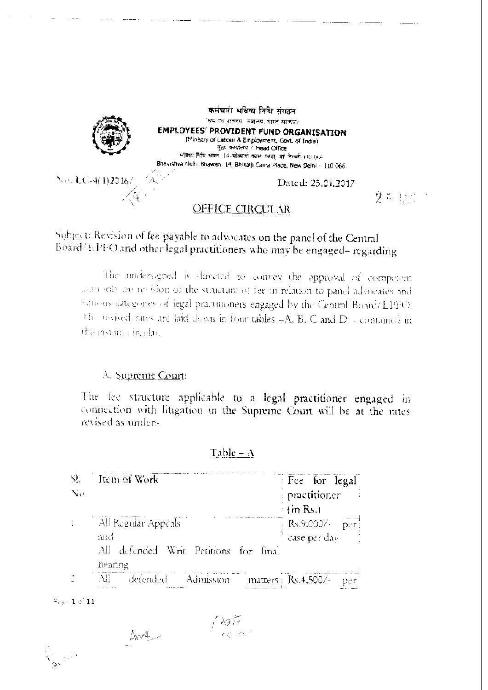

## Subject: Revision of fee payable to advocates on the panel of the Central Board/EPFO and other legal practitioners who may be engaged-regarding

The undersigned is directed to convey the approval of competent loan may on revision of the structure of fee in relation to panel advocates and Samous categories of legal practitioners engaged by the Central Board/EPFO The revised rates are laid down in four tables -A, B, C and D - contained in the instance incelar.

#### A. Supreme Court:

The fee structure applicable to a legal practitioner engaged in connection with litigation in the Supreme Court will be at the rates revised as under-

| $\mathbb{R}$ . | – Item of Work                                  | Fee for legal                                                            |
|----------------|-------------------------------------------------|--------------------------------------------------------------------------|
| $N_{\rm O}$    |                                                 | practitioner                                                             |
|                |                                                 | $\cdot$ (in Rs.)                                                         |
|                | All Regular Appeals<br>and                      | $\left[\begin{array}{cc} \text{Rs.9,000}\end{array}\right]$ case per day |
|                | All defended Writ Petitions for final<br>heanng |                                                                          |
|                | All defended Admission matters Rs.4.500/-<br>.  |                                                                          |

#### Table  $- A$

Page 1 of  $11$ 

Datin.<br>Tazam 

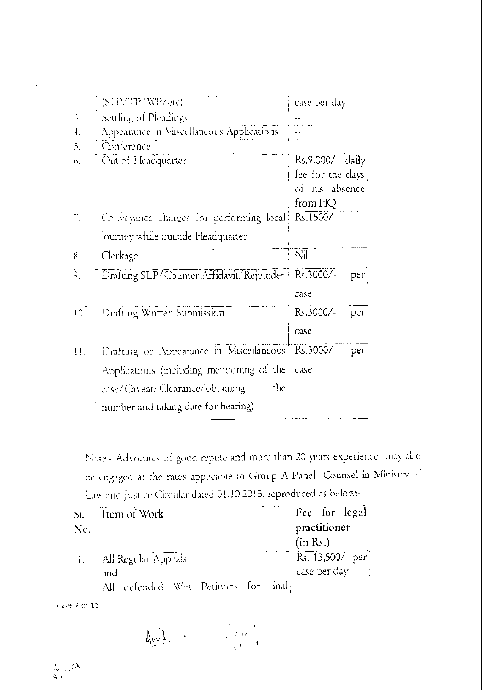|              | (SLP/TP/WP/etc)                                    | case per day     |  |
|--------------|----------------------------------------------------|------------------|--|
| 3.           | Settling of Pleadings                              |                  |  |
| $\ddagger$ . | Appearance in Miscellaneous Applications           |                  |  |
| 5.           | Conference                                         |                  |  |
| 6.           | Out of Headquarter                                 | Rs.9,000/- daily |  |
|              |                                                    | fee for the days |  |
|              |                                                    | of his absence   |  |
|              |                                                    | from HQ          |  |
|              | Conveyance charges for performing local            | Rs.1500/-        |  |
|              | journey while outside Headquarter                  |                  |  |
| 8.           | Clerkage                                           | Nil              |  |
| 9.           | Drafting SLP/Counter Affidavit/Rejoinder Rs.3000/- | per.             |  |
|              |                                                    | case             |  |
| 10.1         | Drafting Written Submission                        | Rs.3000/-<br>per |  |
|              |                                                    | case             |  |
| 11.          | Drafting or Appearance in Miscellaneous            | Rs.3000/-<br>per |  |
|              | Applications (including mentioning of the          | case             |  |
|              | case/Caveat/Clearance/obtaining<br>the             |                  |  |
|              | number and taking date for hearing)                |                  |  |

Note - Advocates of good repute and more than 20 years experience may also be engaged at the rates applicable to Group A Panel Counsel in Ministry of Law and Justice Circular dated 01.10.2015, reproduced as belows-

| SI. | Item of Work                          | Fee for legal      |
|-----|---------------------------------------|--------------------|
| No. |                                       | practitioner       |
|     |                                       | $\pm$ (in Rs.)     |
|     | 1. All Regular Appeals                | $RS. 13,500/- per$ |
|     | and                                   | case per day and   |
|     | All defended Writ Petitions for final |                    |

Page 2 of 11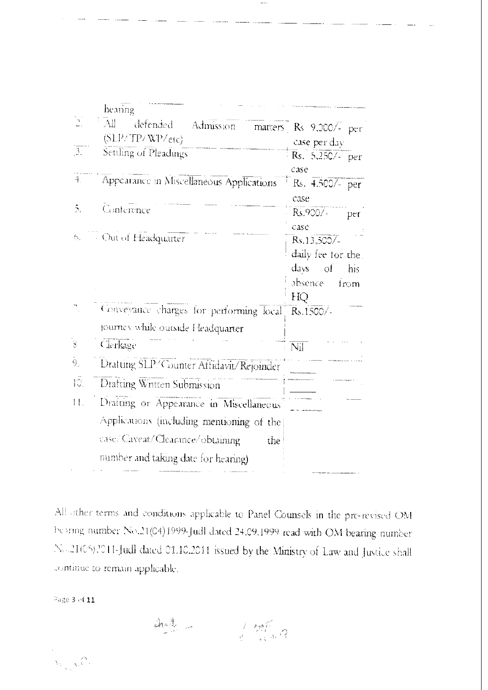|                          | hearing                                           |                        |
|--------------------------|---------------------------------------------------|------------------------|
|                          | $\mathbb{R}^+$<br>defended Admission              | matters Rs 9,000/- per |
|                          | (SLP/TP/WP/erc)                                   | case per day           |
| $\overline{\mathcal{E}}$ | Settling of Pleadings                             | $Rs. 5,250/-$ per      |
|                          |                                                   | case                   |
| 4.                       | Appearance in Miscellaneous Applications          | $Rs. 4.500/- per$      |
|                          |                                                   | case                   |
| Š.                       | Conference                                        | Rs.9007-<br>per        |
|                          | 6. Out of Headquarter                             | case                   |
|                          |                                                   | Rs.13,500/             |
|                          |                                                   | daily fee for the      |
|                          |                                                   | $d$ ays of<br>his.     |
|                          |                                                   | absence<br>$f$ rom     |
|                          | Conveyance charges for performing local Rs.1500/- | HQ                     |
|                          |                                                   |                        |
|                          | journey while outside Headquarter                 |                        |
| $\overline{s}$           | Clerkage                                          | Nil                    |
| Ò,                       | Dratting SLP/Counter Affidavit/Rejoinder          |                        |
| IĈ.                      | Drafting Written Submission                       |                        |
| 11.                      | Drafting or Appearance in Miscellaneous           |                        |
|                          | Applications (including mentioning of the         |                        |
|                          | case/Caveat/Clearance/obtaining<br>the.           |                        |
|                          | number and taking date for hearing)               |                        |
|                          |                                                   |                        |

 $\ldots$ 

All other terms and conditions applicable to Panel Counsels in the pre-revised OM bearing number No.21(04)1999-Judl dated 24.09.1999 read with OM bearing number No.21(C5)2011-Judl dated 01.10.2011 issued by the Ministry of Law and Justice shall continue to remain applicable.

Page 3 of  $11$ 

 $\Delta_{\mathbb{Z}}\mathbb{Z}_{\mathbb{Z}}^{\mathbb{Z}}$  $\frac{1}{2}$   $\frac{1}{2}$   $\frac{1}{2}$   $\frac{1}{2}$   $\frac{1}{2}$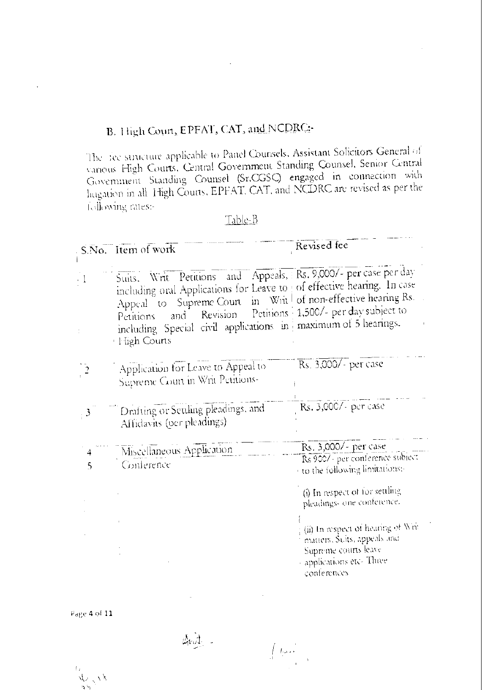# B. High Coun, EPFAT, CAT, and NCDRC:

The fee structure applicable to Panel Counsels, Assistant Solicitors General of vanous High Courts, Central Government Standing Counsel, Senior Central Government Standing Counsel (Sr.CGSC) engaged in connection with hugation in all High Courts, EPFAT, CAT, and NCDRC are revised as per the following rates:-

| ほうに |  |
|-----|--|
|     |  |

|                  | S.No. Item of work                                                                                                                                                                                                                                                                                                    | Revised fee                                                                                                                                               |
|------------------|-----------------------------------------------------------------------------------------------------------------------------------------------------------------------------------------------------------------------------------------------------------------------------------------------------------------------|-----------------------------------------------------------------------------------------------------------------------------------------------------------|
|                  | Suits. Writ Petitions and Appeals, Rs. 9,000/- per case per day<br>including oral Applications for Leave to of effective hearing. In case<br>Appeal to Supreme Court in Writ of non-effective hearing Rs.<br>and<br>Petitions<br>including Special civil applications in maximum of 5 hearings.<br><b>High Courts</b> | Revision Petitions 1,500/- per day subject to                                                                                                             |
|                  | Application for Leave to Appeal to<br>Supreme Count in Whit Petitions-                                                                                                                                                                                                                                                | Rs. 3,000/- per case                                                                                                                                      |
| 3                | Drafting or Settling pleadings, and<br>Affidavits (per pleadings)                                                                                                                                                                                                                                                     | Rs. 3,000/- per case                                                                                                                                      |
| 4<br>$\varsigma$ | Miscellaneous Application<br>Conference                                                                                                                                                                                                                                                                               | Rs. 3,000/- per case<br>Rs 9007 - per conference subject<br>to the following limitations:                                                                 |
|                  |                                                                                                                                                                                                                                                                                                                       | (i) In respect of for settling<br>pleadings- one conference.<br>(ii) In respect of heating of Writ<br>matters, Suits, appeals and<br>Supreme courts leave |
|                  |                                                                                                                                                                                                                                                                                                                       | applications etc-Three<br>conferences                                                                                                                     |

 $\int_{\mathbb{R}^2} f_1(x) dx$ 

 $P_4$ ge 4 of 11

 $x_{\text{c},\text{v}}$ ా

 $\bar{f}_{-i}$ 

And -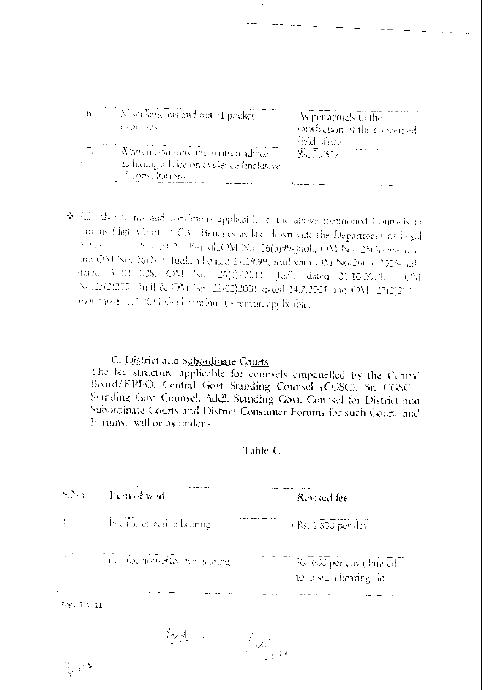| Miscellaneous and out of pocket<br>CYDCINON                                     | As per actuals to the<br>satisfaction of the concerned.<br>– field office. |
|---------------------------------------------------------------------------------|----------------------------------------------------------------------------|
| Written opinions and written advice<br>un luding advice on evidence (inclusive) | $R_{5.}3.750/4$                                                            |
| of consultation).                                                               |                                                                            |

◆ All other terms and conditions applicable to the above mentioned Counsels in means Fligh Courts of CAT Benches as laid down vide the Department of Legal  $\text{MSE} \sim \text{Cov}^{\text{max}}_{k} \mathbb{E}[\mathbf{1}|\mathbf{2}]$ , 96-judh, OM No. 26(3)99-judh, OM No. 25(3)/99-judh. and OM No. 26(2): 9 Judl., all dated 24.09.99, read with OM No. 26(1) [2005. Judi dated 31.01.2008, OM No. 26(1)/2011 Judl., dated 01.16.2011,  $($   $)\iota$ N .23(2)2001-Juil & OM No. 22(02)2001 dated 14.7.2001 and OM 23(2)2011 justi dated 1.10.2011 shall continue to remain applicable.

## C. District and Subordinate Courts:

The fee structure applicable for counsels empanelled by the Central Board/EPFO. Central Govt Standing Counsel (CGSC), Sr. CGSC, Standing Govt Counsel, Addl. Standing Govt. Counsel for District and Subordinate Courts and District Consumer Forums for such Courts and Forums, will be as under.-

#### Table-C

| $N_{\rm eff}$ | Item of work                 | Revised fee                                            |
|---------------|------------------------------|--------------------------------------------------------|
|               | lice for effective hearing.  | $+$ Rs. 1,800 per day                                  |
|               | The formon-effective hearing | · Rs. 600 per day ( limited<br>To 5 such hearings in a |
| $\cdots$      |                              |                                                        |

Page 5 of 11

avi -

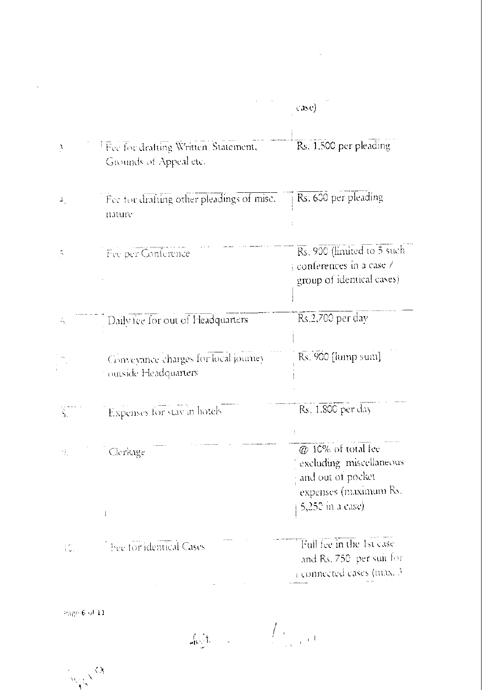|                       |                                                                            | case)                                                                                                           |
|-----------------------|----------------------------------------------------------------------------|-----------------------------------------------------------------------------------------------------------------|
| Ņ                     | <sup>T</sup> Fee for drafting Written Statement,<br>Givunds of Appeal etc. | Rs. 1,500 per pleading                                                                                          |
| 4.                    | Fee for drafting other pleadings of misc.<br>nature                        | Rs. 600 per pleading                                                                                            |
| $\tilde{\mathcal{D}}$ | Fee per Conference                                                         | Rs. 900 (limited to 5 such<br>conferences in a case /<br>group of identical cases)                              |
| Á,                    | Daily fee for out of Headquarters                                          | Rs.2,700 per day                                                                                                |
|                       | Conveyance charges for local journey<br>outside Headquarters               | Rs. 900 [lump sum]                                                                                              |
| Š.                    | Expenses for stay in hotels                                                | Rs. 1,800 per day                                                                                               |
| Υk.                   | Clerkage<br>Ť                                                              | @ 10% of total fee<br>excluding miscellaneous<br>and out of pocket<br>expenses (maximum Rs.<br>5,250 in a case) |
| ίC.                   | hee for identical Cases                                                    | Full fee in the 1st case<br>and Rs. 750 per suit for<br>connected cases (max. 3                                 |

 $\label{eq:2.1} \frac{1}{\sqrt{2}}\int_{0}^{\infty}\frac{1}{\sqrt{2\pi}}\left(\frac{1}{\sqrt{2\pi}}\right)^{2\alpha} \frac{1}{\sqrt{2\pi}}\int_{0}^{\infty}\frac{1}{\sqrt{2\pi}}\left(\frac{1}{\sqrt{2\pi}}\right)^{\alpha} \frac{1}{\sqrt{2\pi}}\frac{1}{\sqrt{2\pi}}\int_{0}^{\infty}\frac{1}{\sqrt{2\pi}}\frac{1}{\sqrt{2\pi}}\frac{1}{\sqrt{2\pi}}\frac{1}{\sqrt{2\pi}}\frac{1}{\sqrt{2\pi}}\frac{1}{\sqrt{2\pi}}$ 

Page 6 of 11

 $\mathcal{L}(\mathcal{A})$  and  $\mathcal{L}(\mathcal{A})$ 

 $\lim_{n\rightarrow\infty}\frac{1}{n}\int_{\mathbb{R}^{n}}\frac{1}{\left(1-\frac{1}{n}\right)^{n}}\int_{\mathbb{R}^{n}}\frac{1}{\left(1-\frac{1}{n}\right)^{n}}\frac{1}{\left(1-\frac{1}{n}\right)^{n}}\frac{1}{\left(1-\frac{1}{n}\right)^{n}}\frac{1}{\left(1-\frac{1}{n}\right)^{n}}\frac{1}{\left(1-\frac{1}{n}\right)^{n}}\frac{1}{\left(1-\frac{1}{n}\right)^{n}}\frac{1}{\left(1-\frac{1}{n}\right)^{n}}\frac{1}{\left(1-\frac{1$ 

 $\frac{1}{\sqrt{2}}\int_{0}^{\sqrt{2}}\frac{d\lambda}{\lambda}$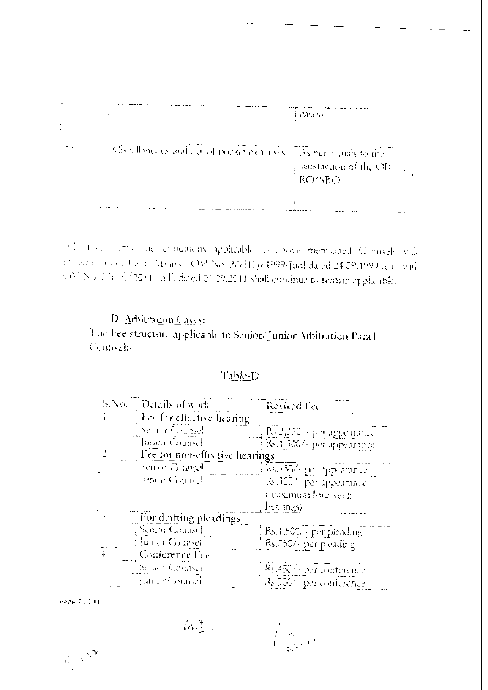|                                           | cases)                                                                   |  |
|-------------------------------------------|--------------------------------------------------------------------------|--|
|                                           |                                                                          |  |
|                                           |                                                                          |  |
| Miscellaneous and out of pocket expenses. | $\triangle$ As per actuals to the<br>sausfaction of the OIC of<br>RO/SRO |  |
|                                           |                                                                          |  |
|                                           |                                                                          |  |

[34] after terms and conditions applicable to above memoined Counsels vide Chouring on C. Legal Afrans's OM No. 27/111)/1999-Judl dated 24.09.1999 read with OM No. 27(25) '2011-Judl. dated 01.09.2011 shall cominue to remain applicable.

## D. Arbitration Cases:

The Fee structure applicable to Senior/Junior Arbitration Panel Counsel:-

### Table-D

| S.No.                                    | Details of work                | Revised Fee               |
|------------------------------------------|--------------------------------|---------------------------|
|                                          | Fee for effective hearing      |                           |
|                                          | Seturer Geunsel                | Rs.2,250/- per appearance |
|                                          | Jumor Counsel                  | Rs.1,500/- per appearance |
|                                          | Fee for non-effective hearings |                           |
|                                          | Senior Counsel                 | Rs.450/- per appearance   |
|                                          | Juma Gamel                     | Rs.300/- per appearance   |
|                                          |                                | (maximum four such        |
|                                          |                                | $\text{heamps}$           |
|                                          | For drafting pleadings         |                           |
|                                          | Senior Counsel                 | Rs.1.500/- per pleading   |
|                                          | Junior Counsel                 | Rs.750/- per pleading     |
| $\stackrel{\text{\tiny 3}}{\Rightarrow}$ | Conference Fee                 |                           |
|                                          | Semon Connsei                  | Bs.450/- per conference   |
|                                          | Junior Counsel                 | Rs.300/- per conference   |

Page 7 of 11

 $\mathbb{A}\mathbb{U}$ 

 $\lim_{\substack{\longrightarrow \\ \omega\in\mathbb{R}^N}}\sqrt{\frac{2\pi}{\lambda}}$ 

 $\left(\begin{array}{c} -q_1^2 \\ q_2^2 \end{array}\right)_{\rm eff}$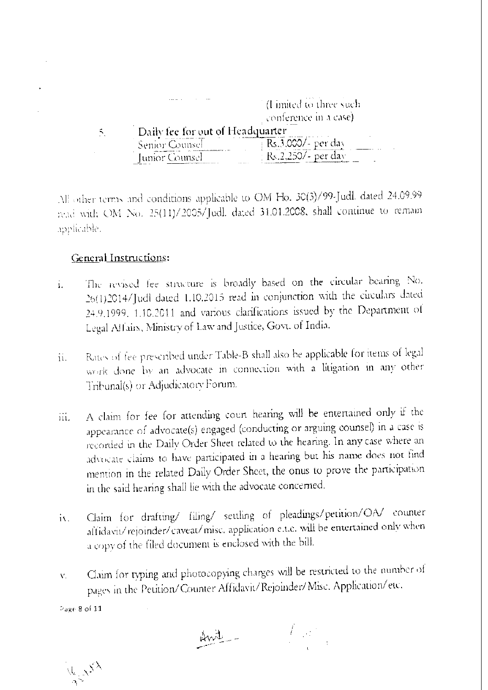|   | 1.111                            | (Ultimited to three such) |
|---|----------------------------------|---------------------------|
|   |                                  | conference in a case)     |
| ↖ | Daily fee for out of Headquarter |                           |
|   | Senior Counsel                   | Rs.3,000/- per day        |
|   | Junior Counsel                   | iper day<br>.   .         |

All other terms and conditions applicable to OM Ho. 30(3)/99-Judl. dated 24.09.99 read with OM No. 25(11)/2005/Judl. dated 31.01.2008, shall continue to remain applicable.

### General Instructions:

- The revised fee structure is broadly based on the circular bearing No. i. 26(1)2014/Judl dated 1.10.2015 read in conjunction with the circulars dated 24.9.1999, 1.10.2011 and various clarifications issued by the Department of Legal Affairs, Ministry of Law and Justice, Govt. of India.
- Rates of fee prescribed under Table-B shall also be applicable for items of legal  $\ddot{u}$ . work done by an advocate in connection with a litigation in any other Tribunal(s) or Adjudicatory Forum.
- A claim for fee for attending court hearing will be entertained only if the iii. appearance of advocate(s) engaged (conducting or arguing counsel) in a case is recorded in the Daily Order Sheet related to the hearing. In any case where an advocate claims to have participated in a hearing but his name does not find mention in the related Daily Order Sheet, the onus to prove the participation in the said hearing shall lie with the advocate concerned.
- Claim for drafting/ filing/ settling of pleadings/petition/OA/ counter  $\mathbf{a}$ affidavit/rejoinder/caveat/misc. application e.t.c. will be entertained only when a copy of the filed document is enclosed with the bill.
- Claim for typing and photocopying charges will be restricted to the number of V. pages in the Petition/Counter Affidavit/Rejoinder/Misc. Application/etc.

Page 8 of 11

Avite -

 $V_{k_1,N}$  $S^X$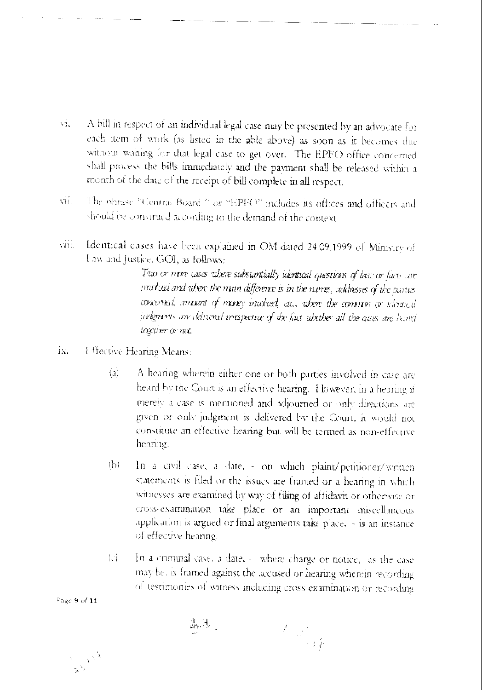- A bill in respect of an individual legal case may be presented by an advocate for  $\mathcal{L}$ each item of work (as listed in the able above) as soon as it becomes due without waiting for that legal case to get over. The EPFO office concerned shall process the bills immediately and the payment shall be released within a month of the date of the receipt of bill complete in all respect.
- The obrase "Central Board " or "EPFO" includes its offices and officers and vii. should be construed according to the demand of the context
- Identical cases have been explained in OM dated 24.09.1999 of Ministry of viii. Law and Justice, GOI, as follows:

Two or more cases where substantially identical questions of law or facts are moduci and when the main difference is in the names, addresses of the parties convened, convert of money included, etc., where the common or whousail judgments are delivered irrespective of the fact whether all the cases are hand together or not.

- ix. Effective Hearing Means:
	- $\overline{a}$ A hearing wherein either one or both parties involved in case are heard by the Court is an effective hearing. However, in a hearing if merely a case is mentioned and adjourned or only directions are given or only judgment is delivered by the Court, it would not constitute an effective hearing but will be termed as non-effective hearing.
	- In a civil case, a date, on which plaint/petitioner/written  $\mathbb{b}$ statements is filed or the issues are framed or a hearing in which witnesses are examined by way of filing of affidavit or otherwise or cross-examination take place or an important miscellaneous application is argued or final arguments take place. - is an instance of effective hearing.
	- In a criminal case, a date, where charge or notice, as the case  $\left\{ \cdot \right\}$ may be, is framed against the accused or hearing wherein recording of testimonies of witness including cross examination or recording

Page 9 of 11

入土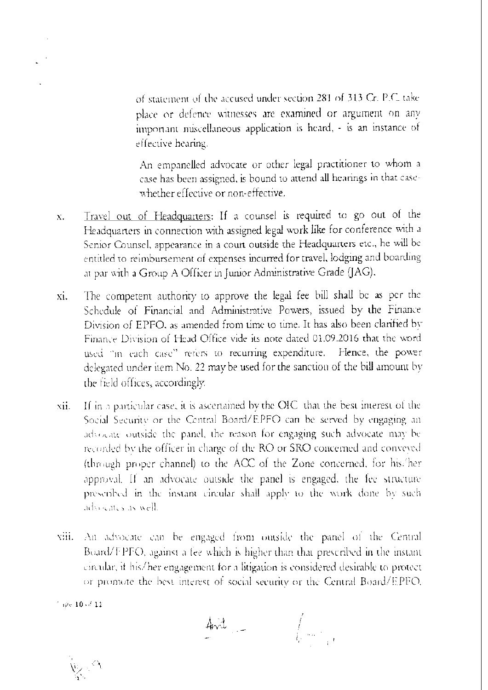of statement of the accused under section 281 of 313 Cr. P.C. take place or defence witnesses are examined or argument on any important miscellaneous application is heard, - is an instance of effective hearing.

An empanelled advocate or other legal practitioner to whom a case has been assigned, is bound to attend all hearings in that casewhether effective or non-effective.

- Travel out of Headquarters: If a counsel is required to go out of the  $\mathbf{X}$ . Headquarters in connection with assigned legal work like for conference with a Senior Counsel, appearance in a court outside the Headquarters etc., he will be entitled to reimbursement of expenses incurred for travel, lodging and boarding at par with a Group A Officer in Junior Administrative Grade (JAG).
- The competent authority to approve the legal fee bill shall be as per the xi. Schedule of Financial and Administrative Powers, issued by the Finance Division of EPFO, as amended from time to time. It has also been clarified by Finance Division of Head Office vide its note dated 01.09.2016 that the word used "in each case" refers to recurring expenditure. Hence, the power delegated under item No. 22 may be used for the sanction of the bill amount by the field offices, accordingly.
- If in a particular case, it is ascertained by the OIC that the best interest of the xii. Social Security or the Central Board/EPFO can be served by engaging an advocate outside the panel, the reason for engaging such advocate may be recorded by the officer in charge of the RO or SRO concerned and conveved (through proper channel) to the ACC of the Zone concerned, for his/her approval. If an advocate outside the panel is engaged, the fee structure prescribed in the instant circular shall apply to the work done by such advisates as well.
- viii. An advocate can be engaged from outside the panel of the Central Board/FPFO, against a fee which is higher than that prescribed in the instant circular, it his/her engagement for a litigation is considered desirable to protect or promote the best interest of social security or the Central Board/EPFO.

 $4rd$  $\int\limits_{\Gamma_{\rm{eff}}=0.5\,\epsilon} \frac{1}{\epsilon_{\rm{eff}}\left|\Gamma_{\rm{eff}}\right|}$ 

 $^{\circ}$  ipe  $10$  of  $11$